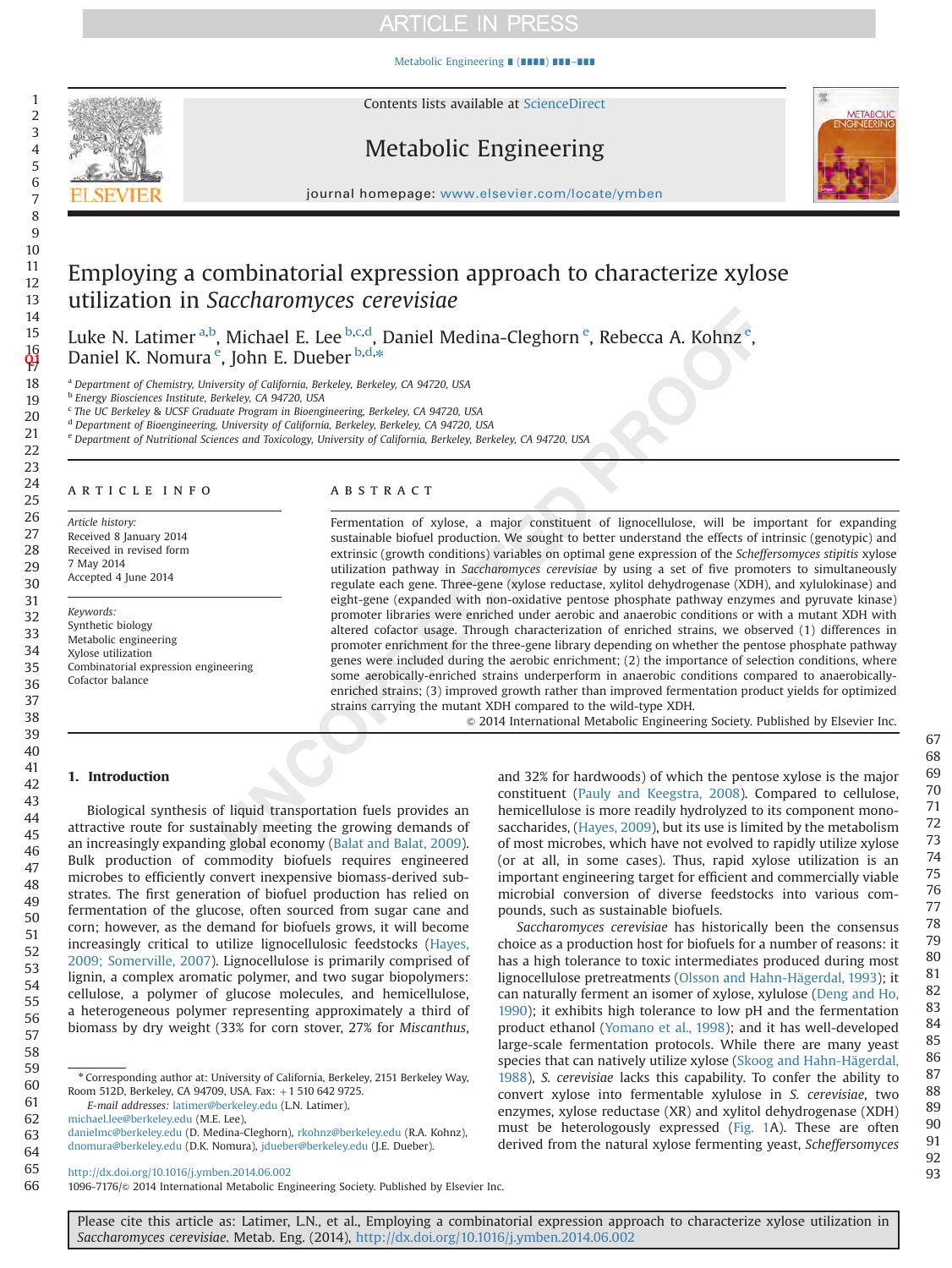# **ARTICLE IN PRESS**

#### [Metabolic Engineering](http://dx.doi.org/10.1016/j.ymben.2014.06.002) ∎ (∎∎∎∎) ∎∎∎–∎∎∎



Contents lists available at [ScienceDirect](www.sciencedirect.com/science/journal/10967176)

# Metabolic Engineering



journal homepage: <www.elsevier.com/locate/ymben>

# Employing a combinatorial expression approach to characterize xylose utilization in Saccharomyces cerevisiae

Luke N. Latimer<sup>a,b</sup>, Michael E. Lee <sup>b,c,d</sup>, Daniel Medina-Cleghorn <sup>e</sup>, Rebecca A. Kohnz <sup>e</sup>,  $\mathbf{\hat{q}}$  Daniel K. Nomura<sup>e</sup>, John E. Dueber  $\mathrm{^{b,d,*}}$ 

a Department of Chemistry, University of California, Berkeley, Berkeley, CA 94720, USA

<sup>b</sup> Energy Biosciences Institute, Berkeley, CA 94720, USA

<sup>c</sup> The UC Berkeley & UCSF Graduate Program in Bioengineering, Berkeley, CA 94720, USA

<sup>d</sup> Department of Bioengineering, University of California, Berkeley, Berkeley, CA 94720, USA

e Department of Nutritional Sciences and Toxicology, University of California, Berkeley, Berkeley, CA 94720, USA

#### article info

Article history: Received 8 January 2014 Received in revised form 7 May 2014 Accepted 4 June 2014

Keywords: Synthetic biology Metabolic engineering Xylose utilization Combinatorial expression engineering Cofactor balance

### **ABSTRACT**

Fermentation of xylose, a major constituent of lignocellulose, will be important for expanding sustainable biofuel production. We sought to better understand the effects of intrinsic (genotypic) and extrinsic (growth conditions) variables on optimal gene expression of the Scheffersomyces stipitis xylose utilization pathway in Saccharomyces cerevisiae by using a set of five promoters to simultaneously regulate each gene. Three-gene (xylose reductase, xylitol dehydrogenase (XDH), and xylulokinase) and eight-gene (expanded with non-oxidative pentose phosphate pathway enzymes and pyruvate kinase) promoter libraries were enriched under aerobic and anaerobic conditions or with a mutant XDH with altered cofactor usage. Through characterization of enriched strains, we observed (1) differences in promoter enrichment for the three-gene library depending on whether the pentose phosphate pathway genes were included during the aerobic enrichment; (2) the importance of selection conditions, where some aerobically-enriched strains underperform in anaerobic conditions compared to anaerobicallyenriched strains; (3) improved growth rather than improved fermentation product yields for optimized strains carrying the mutant XDH compared to the wild-type XDH.

pounds, such as sustainable biofuels.

 $\odot$  2014 International Metabolic Engineering Society. Published by Elsevier Inc.

and 32% for hardwoods) of which the pentose xylose is the major constituent ([Pauly and Keegstra, 2008](#page-9-0)). Compared to cellulose, hemicellulose is more readily hydrolyzed to its component monosaccharides, ([Hayes, 2009\)](#page-8-0), but its use is limited by the metabolism of most microbes, which have not evolved to rapidly utilize xylose (or at all, in some cases). Thus, rapid xylose utilization is an important engineering target for efficient and commercially viable microbial conversion of diverse feedstocks into various com-

Saccharomyces cerevisiae has historically been the consensus choice as a production host for biofuels for a number of reasons: it has a high tolerance to toxic intermediates produced during most lignocellulose pretreatments [\(Olsson and Hahn-Hägerdal, 1993\)](#page-9-0); it can naturally ferment an isomer of xylose, xylulose [\(Deng and Ho,](#page-8-0) [1990](#page-8-0)); it exhibits high tolerance to low pH and the fermentation product ethanol ([Yomano et al., 1998\)](#page-9-0); and it has well-developed large-scale fermentation protocols. While there are many yeast species that can natively utilize xylose [\(Skoog and Hahn-Hägerdal,](#page-9-0) [1988](#page-9-0)), S. cerevisiae lacks this capability. To confer the ability to convert xylose into fermentable xylulose in S. cerevisiae, two enzymes, xylose reductase (XR) and xylitol dehydrogenase (XDH) must be heterologously expressed [\(Fig. 1A](#page-1-0)). These are often derived from the natural xylose fermenting yeast, Scheffersomyces

## 1. Introduction

Biological synthesis of liquid transportation fuels provides an attractive route for sustainably meeting the growing demands of an increasingly expanding global economy ([Balat and Balat, 2009\)](#page-8-0). Bulk production of commodity biofuels requires engineered microbes to efficiently convert inexpensive biomass-derived substrates. The first generation of biofuel production has relied on fermentation of the glucose, often sourced from sugar cane and corn; however, as the demand for biofuels grows, it will become increasingly critical to utilize lignocellulosic feedstocks [\(Hayes,](#page-8-0) [2009; Somerville, 2007\)](#page-9-0). Lignocellulose is primarily comprised of lignin, a complex aromatic polymer, and two sugar biopolymers: cellulose, a polymer of glucose molecules, and hemicellulose, a heterogeneous polymer representing approximately a third of biomass by dry weight (33% for corn stover, 27% for Miscanthus,

61 E-mail addresses: [latimer@berkeley.edu](mailto:latimer@berkeley.edu) (L.N. Latimer),

62 [michael.lee@berkeley.edu](mailto:michael.lee@berkeley.edu) (M.E. Lee),

67

<sup>n</sup> Corresponding author at: University of California, Berkeley, 2151 Berkeley Way, Room 512D, Berkeley, CA 94709, USA, Fax: +1 510 642 9725.

<sup>63</sup> 64 [danielmc@berkeley.edu](mailto:danielmc@berkeley.edu) (D. Medina-Cleghorn), [rkohnz@berkeley.edu](mailto:rkohnz@berkeley.edu) (R.A. Kohnz), [dnomura@berkeley.edu](mailto:dnomura@berkeley.edu) (D.K. Nomura), [jdueber@berkeley.edu](mailto:jdueber@berkeley.edu) (J.E. Dueber).

<sup>65</sup> <http://dx.doi.org/10.1016/j.ymben.2014.06.002>

<sup>66</sup> 1096-7176/ $\circ$  2014 International Metabolic Engineering Society. Published by Elsevier Inc.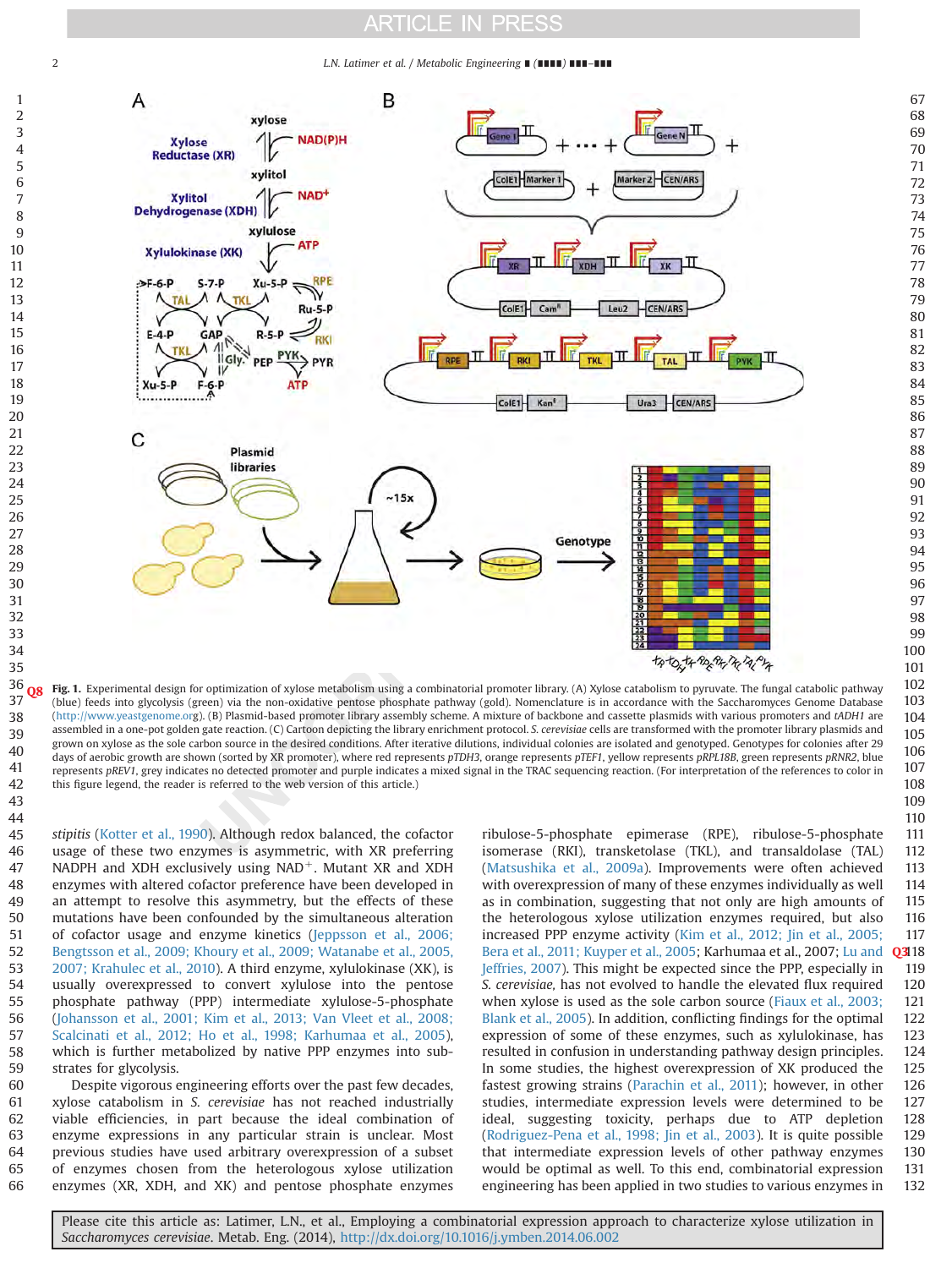<span id="page-1-0"></span>

Q8 Fig. 1. Experimental design for optimization of xylose metabolism using a combinatorial promoter library. (A) Xylose catabolism to pyruvate. The fungal catabolic pathway (blue) feeds into glycolysis (green) via the non-oxidative pentose phosphate pathway (gold). Nomenclature is in accordance with the Saccharomyces Genome Database [\(http://www.yeastgenome.org](http://dx.doi.org/10.1016/j.ymben.2014.06.002)). (B) Plasmid-based promoter library assembly scheme. A mixture of backbone and cassette plasmids with various promoters and tADH1 are assembled in a one-pot golden gate reaction. (C) Cartoon depicting the library enrichment protocol. S. cerevisiae cells are transformed with the promoter library plasmids and grown on xylose as the sole carbon source in the desired conditions. After iterative dilutions, individual colonies are isolated and genotyped. Genotypes for colonies after 29 days of aerobic growth are shown (sorted by XR promoter), where red represents pTDH3, orange represents pTEF1, yellow represents pRPL18B, green represents pRNR2, blue represents pREV1, grey indicates no detected promoter and purple indicates a mixed signal in the TRAC sequencing reaction. (For interpretation of the references to color in this figure legend, the reader is referred to the web version of this article.)

stipitis ([Kotter et al., 1990\)](#page-9-0). Although redox balanced, the cofactor usage of these two enzymes is asymmetric, with XR preferring NADPH and XDH exclusively using  $NAD<sup>+</sup>$ . Mutant XR and XDH enzymes with altered cofactor preference have been developed in an attempt to resolve this asymmetry, but the effects of these mutations have been confounded by the simultaneous alteration of cofactor usage and enzyme kinetics [\(Jeppsson et al., 2006;](#page-8-0) [Bengtsson et al., 2009; Khoury et al., 2009; Watanabe et al., 2005,](#page-9-0) [2007; Krahulec et al., 2010\)](#page-9-0). A third enzyme, xylulokinase (XK), is usually overexpressed to convert xylulose into the pentose phosphate pathway (PPP) intermediate xylulose-5-phosphate ([Johansson et al., 2001; Kim et al., 2013; Van Vleet et al., 2008;](#page-9-0) [Scalcinati et al., 2012; Ho et al., 1998; Karhumaa et al., 2005\)](#page-9-0), which is further metabolized by native PPP enzymes into substrates for glycolysis.

Despite vigorous engineering efforts over the past few decades, xylose catabolism in S. cerevisiae has not reached industrially viable efficiencies, in part because the ideal combination of enzyme expressions in any particular strain is unclear. Most previous studies have used arbitrary overexpression of a subset of enzymes chosen from the heterologous xylose utilization enzymes (XR, XDH, and XK) and pentose phosphate enzymes 

ribulose-5-phosphate epimerase (RPE), ribulose-5-phosphate isomerase (RKI), transketolase (TKL), and transaldolase (TAL) ([Matsushika et al., 2009a\)](#page-9-0). Improvements were often achieved with overexpression of many of these enzymes individually as well as in combination, suggesting that not only are high amounts of the heterologous xylose utilization enzymes required, but also increased PPP enzyme activity ([Kim et al., 2012; Jin et al., 2005;](#page-8-0) [Bera et al., 2011; Kuyper et al., 2005;](#page-9-0) Karhumaa et al., 2007; [Lu and](#page-9-0) **Q31**18 [Jeffries, 2007](#page-9-0)). This might be expected since the PPP, especially in S. cerevisiae, has not evolved to handle the elevated flux required when xylose is used as the sole carbon source [\(Fiaux et al., 2003;](#page-8-0) [Blank et al., 2005](#page-8-0)). In addition, conflicting findings for the optimal expression of some of these enzymes, such as xylulokinase, has resulted in confusion in understanding pathway design principles. In some studies, the highest overexpression of XK produced the fastest growing strains ([Parachin et al., 2011](#page-9-0)); however, in other studies, intermediate expression levels were determined to be ideal, suggesting toxicity, perhaps due to ATP depletion ([Rodriguez-Pena et al., 1998; Jin et al., 2003](#page-8-0)). It is quite possible that intermediate expression levels of other pathway enzymes would be optimal as well. To this end, combinatorial expression engineering has been applied in two studies to various enzymes in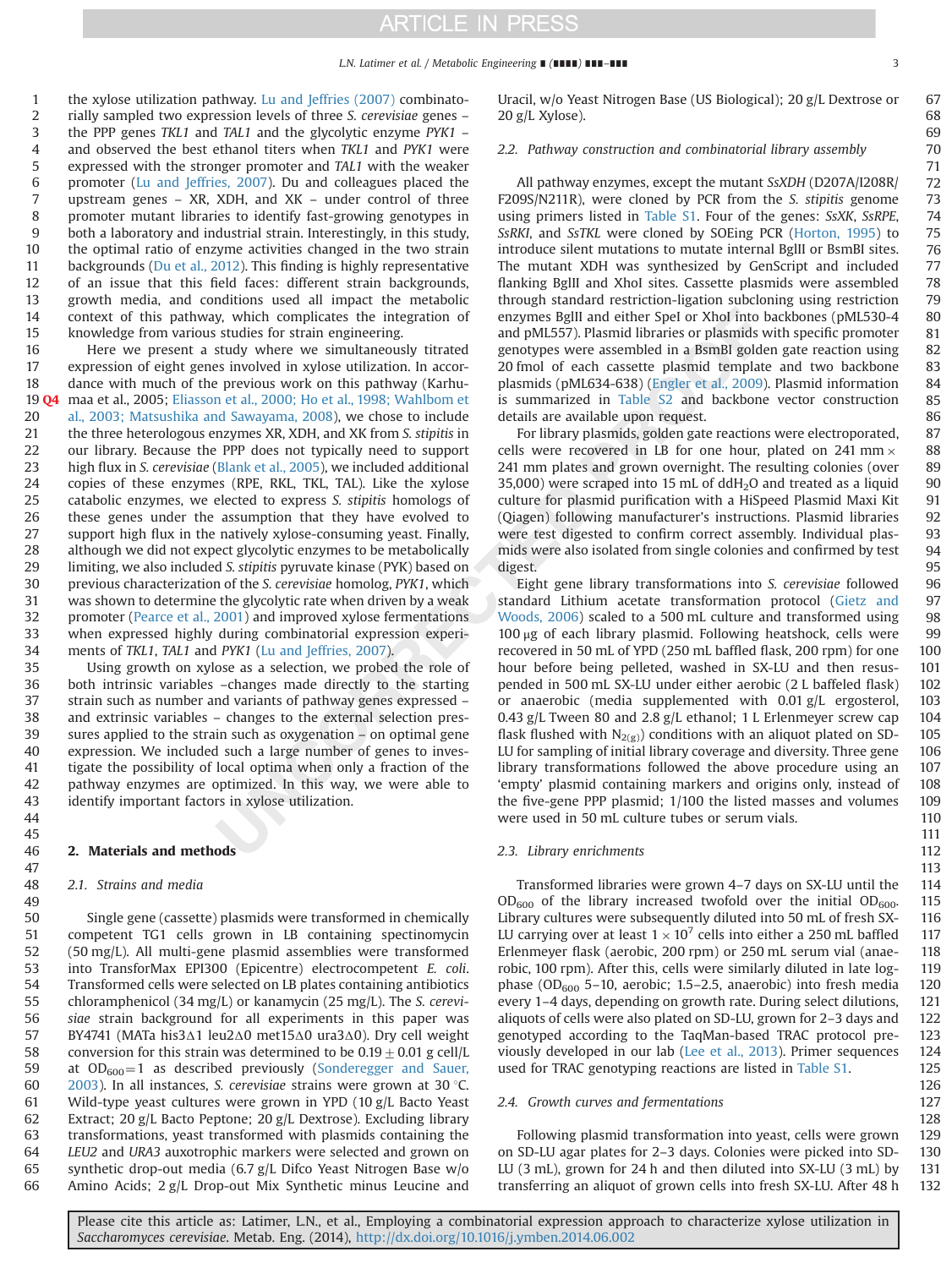the xylose utilization pathway. [Lu and Jeffries \(2007\)](#page-9-0) combinatorially sampled two expression levels of three S. cerevisiae genes – the PPP genes TKL1 and TAL1 and the glycolytic enzyme PYK1 – and observed the best ethanol titers when TKL1 and PYK1 were expressed with the stronger promoter and TAL1 with the weaker promoter [\(Lu and Jeffries, 2007](#page-9-0)). Du and colleagues placed the upstream genes – XR, XDH, and XK – under control of three promoter mutant libraries to identify fast-growing genotypes in both a laboratory and industrial strain. Interestingly, in this study, the optimal ratio of enzyme activities changed in the two strain backgrounds [\(Du et al., 2012](#page-8-0)). This finding is highly representative of an issue that this field faces: different strain backgrounds, growth media, and conditions used all impact the metabolic context of this pathway, which complicates the integration of knowledge from various studies for strain engineering. 1 2 3 4 5 6 7 8 9 10 11 12 13 14 15

Here we present a study where we simultaneously titrated expression of eight genes involved in xylose utilization. In accordance with much of the previous work on this pathway (Karhu-Q4 maa et al., 2005; [Eliasson et al., 2000; Ho et al., 1998; Wahlbom et](#page-9-0) 19 [al., 2003; Matsushika and Sawayama, 2008](#page-9-0)), we chose to include the three heterologous enzymes XR, XDH, and XK from S. stipitis in our library. Because the PPP does not typically need to support high flux in S. cerevisiae ([Blank et al., 2005](#page-8-0)), we included additional copies of these enzymes (RPE, RKL, TKL, TAL). Like the xylose catabolic enzymes, we elected to express S. stipitis homologs of these genes under the assumption that they have evolved to support high flux in the natively xylose-consuming yeast. Finally, although we did not expect glycolytic enzymes to be metabolically limiting, we also included S. stipitis pyruvate kinase (PYK) based on previous characterization of the S. cerevisiae homolog, PYK1, which was shown to determine the glycolytic rate when driven by a weak promoter ([Pearce et al., 2001\)](#page-9-0) and improved xylose fermentations when expressed highly during combinatorial expression experiments of TKL1, TAL1 and PYK1 [\(Lu and Jeffries, 2007\)](#page-9-0). 16 17 18 20 21 22 23 24 25 26 27 28 29 30 31 32 33 34

Using growth on xylose as a selection, we probed the role of both intrinsic variables –changes made directly to the starting strain such as number and variants of pathway genes expressed – and extrinsic variables – changes to the external selection pressures applied to the strain such as oxygenation – on optimal gene expression. We included such a large number of genes to investigate the possibility of local optima when only a fraction of the pathway enzymes are optimized. In this way, we were able to identify important factors in xylose utilization. 35 36 37 38 39 40 41 42 43

#### 2. Materials and methods

#### 2.1. Strains and media

Single gene (cassette) plasmids were transformed in chemically competent TG1 cells grown in LB containing spectinomycin (50 mg/L). All multi-gene plasmid assemblies were transformed into TransforMax EPI300 (Epicentre) electrocompetent E. coli. Transformed cells were selected on LB plates containing antibiotics chloramphenicol (34 mg/L) or kanamycin (25 mg/L). The S. cerevisiae strain background for all experiments in this paper was BY4741 (MATa his3Δ1 leu2Δ0 met15Δ0 ura3Δ0). Dry cell weight conversion for this strain was determined to be  $0.19\pm0.01$  g cell/L at  $OD_{600} = 1$  as described previously ([Sonderegger and Sauer,](#page-9-0) [2003\)](#page-9-0). In all instances, S. cerevisiae strains were grown at 30  $\degree$ C. Wild-type yeast cultures were grown in YPD (10 g/L Bacto Yeast Extract; 20 g/L Bacto Peptone; 20 g/L Dextrose). Excluding library transformations, yeast transformed with plasmids containing the LEU2 and URA3 auxotrophic markers were selected and grown on synthetic drop-out media (6.7 g/L Difco Yeast Nitrogen Base w/o Amino Acids; 2 g/L Drop-out Mix Synthetic minus Leucine and 50 51 52 53 54 55 56 57 58 59 60 61 62 63 64 65 66

Uracil, w/o Yeast Nitrogen Base (US Biological); 20 g/L Dextrose or 20 g/L Xylose).

#### 2.2. Pathway construction and combinatorial library assembly

All pathway enzymes, except the mutant SsXDH (D207A/I208R/ F209S/N211R), were cloned by PCR from the S. stipitis genome using primers listed in Table S1. Four of the genes: SsXK, SsRPE, SsRKI, and SsTKL were cloned by SOEing PCR ([Horton, 1995](#page-8-0)) to introduce silent mutations to mutate internal BglII or BsmBI sites. The mutant XDH was synthesized by GenScript and included flanking BglII and XhoI sites. Cassette plasmids were assembled through standard restriction-ligation subcloning using restriction enzymes BglII and either SpeI or XhoI into backbones (pML530-4 and pML557). Plasmid libraries or plasmids with specific promoter genotypes were assembled in a BsmBI golden gate reaction using 20 fmol of each cassette plasmid template and two backbone plasmids (pML634-638) [\(Engler et al., 2009](#page-8-0)). Plasmid information is summarized in Table S2 and backbone vector construction details are available upon request.

For library plasmids, golden gate reactions were electroporated, cells were recovered in LB for one hour, plated on 241 mm  $\times$ 241 mm plates and grown overnight. The resulting colonies (over 35,000) were scraped into 15 mL of  $ddH<sub>2</sub>O$  and treated as a liquid culture for plasmid purification with a HiSpeed Plasmid Maxi Kit (Qiagen) following manufacturer's instructions. Plasmid libraries were test digested to confirm correct assembly. Individual plasmids were also isolated from single colonies and confirmed by test digest.

Eight gene library transformations into S. cerevisiae followed standard Lithium acetate transformation protocol ([Gietz and](#page-8-0) [Woods, 2006](#page-8-0)) scaled to a 500 mL culture and transformed using 100 μg of each library plasmid. Following heatshock, cells were recovered in 50 mL of YPD (250 mL baffled flask, 200 rpm) for one hour before being pelleted, washed in SX-LU and then resuspended in 500 mL SX-LU under either aerobic (2 L baffeled flask) or anaerobic (media supplemented with 0.01 g/L ergosterol, 0.43 g/L Tween 80 and 2.8 g/L ethanol; 1 L Erlenmeyer screw cap flask flushed with  $N_{2(g)}$ ) conditions with an aliquot plated on SD-LU for sampling of initial library coverage and diversity. Three gene library transformations followed the above procedure using an 'empty' plasmid containing markers and origins only, instead of the five-gene PPP plasmid; 1/100 the listed masses and volumes were used in 50 mL culture tubes or serum vials. 101 102 103 104 105 106 107 108 109 110

#### 2.3. Library enrichments

Transformed libraries were grown 4–7 days on SX-LU until the  $OD_{600}$  of the library increased twofold over the initial  $OD_{600}$ . Library cultures were subsequently diluted into 50 mL of fresh SX-LU carrying over at least  $1 \times 10^7$  cells into either a 250 mL baffled Erlenmeyer flask (aerobic, 200 rpm) or 250 mL serum vial (anaerobic, 100 rpm). After this, cells were similarly diluted in late logphase (OD<sub>600</sub> 5–10, aerobic; 1.5–2.5, anaerobic) into fresh media every 1–4 days, depending on growth rate. During select dilutions, aliquots of cells were also plated on SD-LU, grown for 2–3 days and genotyped according to the TaqMan-based TRAC protocol previously developed in our lab [\(Lee et al., 2013\)](#page-9-0). Primer sequences used for TRAC genotyping reactions are listed in Table S1.

#### 2.4. Growth curves and fermentations

Following plasmid transformation into yeast, cells were grown on SD-LU agar plates for 2–3 days. Colonies were picked into SD-LU (3 mL), grown for 24 h and then diluted into SX-LU (3 mL) by transferring an aliquot of grown cells into fresh SX-LU. After 48 h 129 130 131 132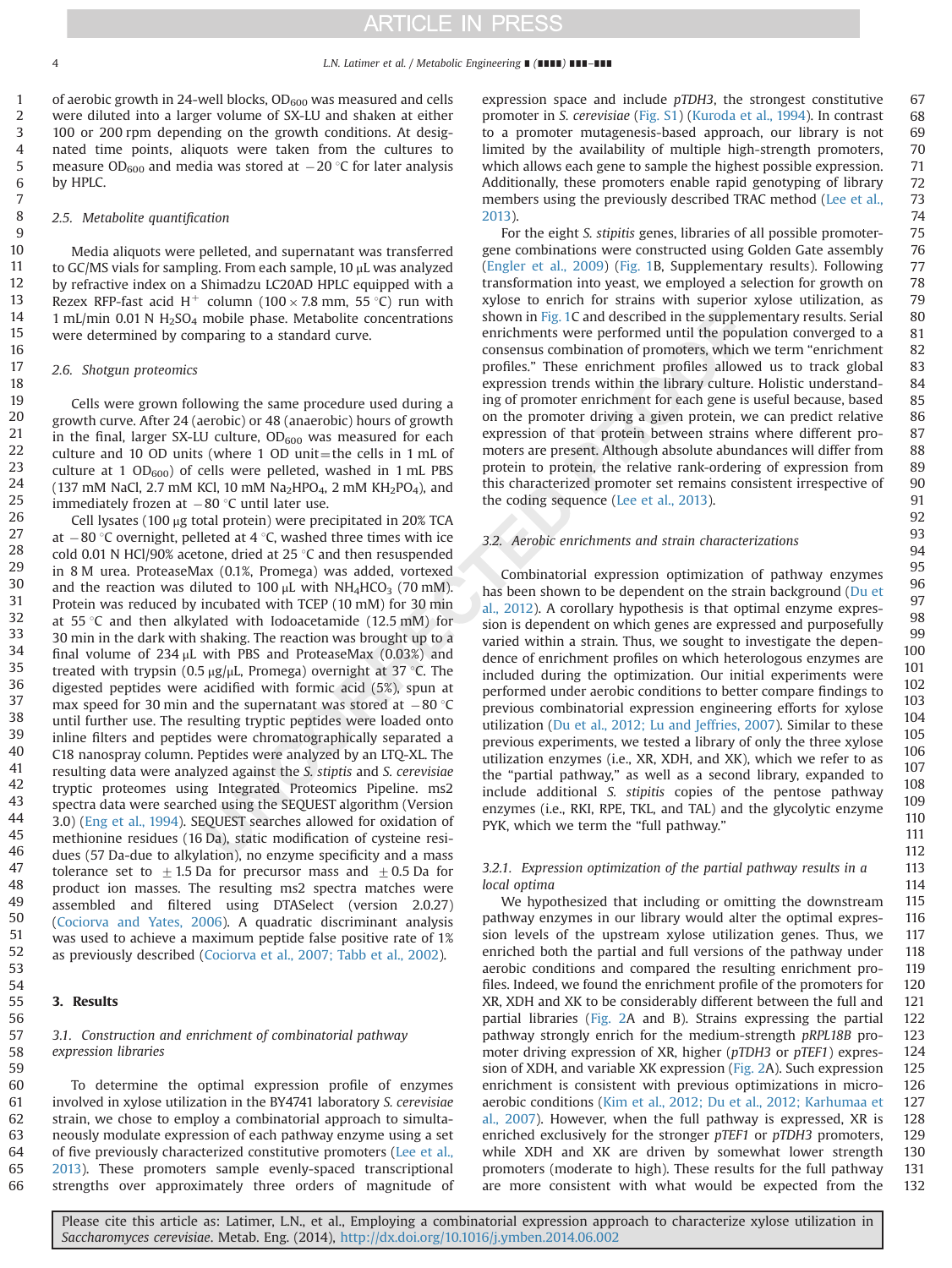of aerobic growth in 24-well blocks,  $OD_{600}$  was measured and cells were diluted into a larger volume of SX-LU and shaken at either 100 or 200 rpm depending on the growth conditions. At designated time points, aliquots were taken from the cultures to measure OD<sub>600</sub> and media was stored at  $-20$  °C for later analysis by HPLC.

## 2.5. Metabolite quantification

Media aliquots were pelleted, and supernatant was transferred to GC/MS vials for sampling. From each sample, 10 μL was analyzed by refractive index on a Shimadzu LC20AD HPLC equipped with a Rezex RFP-fast acid H<sup>+</sup> column (100  $\times$  7.8 mm, 55 °C) run with 1 mL/min 0.01 N  $H<sub>2</sub>SO<sub>4</sub>$  mobile phase. Metabolite concentrations were determined by comparing to a standard curve.

## 2.6. Shotgun proteomics

Cells were grown following the same procedure used during a growth curve. After 24 (aerobic) or 48 (anaerobic) hours of growth in the final, larger SX-LU culture,  $OD_{600}$  was measured for each culture and 10 OD units (where 1 OD unit=the cells in 1 mL of culture at 1  $OD_{600}$ ) of cells were pelleted, washed in 1 mL PBS (137 mM NaCl, 2.7 mM KCl, 10 mM Na<sub>2</sub>HPO<sub>4</sub>, 2 mM KH<sub>2</sub>PO<sub>4</sub>), and immediately frozen at  $-80$  °C until later use.

Cell lysates (100 μg total protein) were precipitated in 20% TCA at  $-80$  °C overnight, pelleted at 4 °C, washed three times with ice cold 0.01 N HCl/90% acetone, dried at 25  $\degree$ C and then resuspended in 8 M urea. ProteaseMax (0.1%, Promega) was added, vortexed and the reaction was diluted to 100  $\mu$ L with NH<sub>4</sub>HCO<sub>3</sub> (70 mM). Protein was reduced by incubated with TCEP (10 mM) for 30 min at 55 °C and then alkylated with Iodoacetamide (12.5 mM) for 30 min in the dark with shaking. The reaction was brought up to a final volume of 234 μL with PBS and ProteaseMax (0.03%) and treated with trypsin (0.5  $\mu$ g/ $\mu$ L, Promega) overnight at 37 °C. The digested peptides were acidified with formic acid (5%), spun at max speed for 30 min and the supernatant was stored at  $-80$  °C until further use. The resulting tryptic peptides were loaded onto inline filters and peptides were chromatographically separated a C18 nanospray column. Peptides were analyzed by an LTQ-XL. The resulting data were analyzed against the S. stiptis and S. cerevisiae tryptic proteomes using Integrated Proteomics Pipeline. ms2 spectra data were searched using the SEQUEST algorithm (Version 3.0) [\(Eng et al., 1994\)](#page-8-0). SEQUEST searches allowed for oxidation of methionine residues (16 Da), static modification of cysteine residues (57 Da-due to alkylation), no enzyme specificity and a mass tolerance set to  $\pm$  1.5 Da for precursor mass and  $\pm$  0.5 Da for product ion masses. The resulting ms2 spectra matches were assembled and filtered using DTASelect (version 2.0.27) ([Cociorva and Yates, 2006](#page-8-0)). A quadratic discriminant analysis was used to achieve a maximum peptide false positive rate of 1% as previously described ([Cociorva et al., 2007; Tabb et al., 2002\)](#page-9-0).

# 3. Results

3.1. Construction and enrichment of combinatorial pathway expression libraries

To determine the optimal expression profile of enzymes involved in xylose utilization in the BY4741 laboratory S. cerevisiae strain, we chose to employ a combinatorial approach to simultaneously modulate expression of each pathway enzyme using a set of five previously characterized constitutive promoters ([Lee et al.,](#page-9-0) [2013\)](#page-9-0). These promoters sample evenly-spaced transcriptional strengths over approximately three orders of magnitude of expression space and include pTDH3, the strongest constitutive promoter in S. cerevisiae (Fig. S1) [\(Kuroda et al., 1994](#page-9-0)). In contrast to a promoter mutagenesis-based approach, our library is not limited by the availability of multiple high-strength promoters, which allows each gene to sample the highest possible expression. Additionally, these promoters enable rapid genotyping of library members using the previously described TRAC method [\(Lee et al.,](#page-9-0) [2013\)](#page-9-0).

For the eight S. stipitis genes, libraries of all possible promotergene combinations were constructed using Golden Gate assembly ([Engler et al., 2009\)](#page-8-0) ([Fig.](#page-1-0) 1B, Supplementary results). Following transformation into yeast, we employed a selection for growth on xylose to enrich for strains with superior xylose utilization, as shown in [Fig. 1C](#page-1-0) and described in the supplementary results. Serial enrichments were performed until the population converged to a consensus combination of promoters, which we term "enrichment profiles." These enrichment profiles allowed us to track global expression trends within the library culture. Holistic understanding of promoter enrichment for each gene is useful because, based on the promoter driving a given protein, we can predict relative expression of that protein between strains where different promoters are present. Although absolute abundances will differ from protein to protein, the relative rank-ordering of expression from this characterized promoter set remains consistent irrespective of the coding sequence ([Lee et al., 2013\)](#page-9-0).

## 3.2. Aerobic enrichments and strain characterizations

Combinatorial expression optimization of pathway enzymes has been shown to be dependent on the strain background [\(Du et](#page-8-0) [al., 2012\)](#page-8-0). A corollary hypothesis is that optimal enzyme expression is dependent on which genes are expressed and purposefully varied within a strain. Thus, we sought to investigate the dependence of enrichment profiles on which heterologous enzymes are included during the optimization. Our initial experiments were performed under aerobic conditions to better compare findings to previous combinatorial expression engineering efforts for xylose utilization [\(Du et al., 2012; Lu and Jeffries, 2007](#page-9-0)). Similar to these previous experiments, we tested a library of only the three xylose utilization enzymes (i.e., XR, XDH, and XK), which we refer to as the "partial pathway," as well as a second library, expanded to include additional S. stipitis copies of the pentose pathway enzymes (i.e., RKI, RPE, TKL, and TAL) and the glycolytic enzyme PYK, which we term the "full pathway."

## 3.2.1. Expression optimization of the partial pathway results in a local optima

We hypothesized that including or omitting the downstream pathway enzymes in our library would alter the optimal expression levels of the upstream xylose utilization genes. Thus, we enriched both the partial and full versions of the pathway under aerobic conditions and compared the resulting enrichment profiles. Indeed, we found the enrichment profile of the promoters for XR, XDH and XK to be considerably different between the full and partial libraries ([Fig. 2](#page-4-0)A and B). Strains expressing the partial pathway strongly enrich for the medium-strength pRPL18B promoter driving expression of XR, higher (pTDH3 or pTEF1) expression of XDH, and variable XK expression [\(Fig. 2](#page-4-0)A). Such expression enrichment is consistent with previous optimizations in microaerobic conditions [\(Kim et al., 2012; Du et al., 2012; Karhumaa et](#page-9-0) [al., 2007](#page-9-0)). However, when the full pathway is expressed, XR is enriched exclusively for the stronger pTEF1 or pTDH3 promoters, while XDH and XK are driven by somewhat lower strength promoters (moderate to high). These results for the full pathway are more consistent with what would be expected from the 115 116 117 118 119 120 121 122 123 124 125 126 127 128 129 130 131 132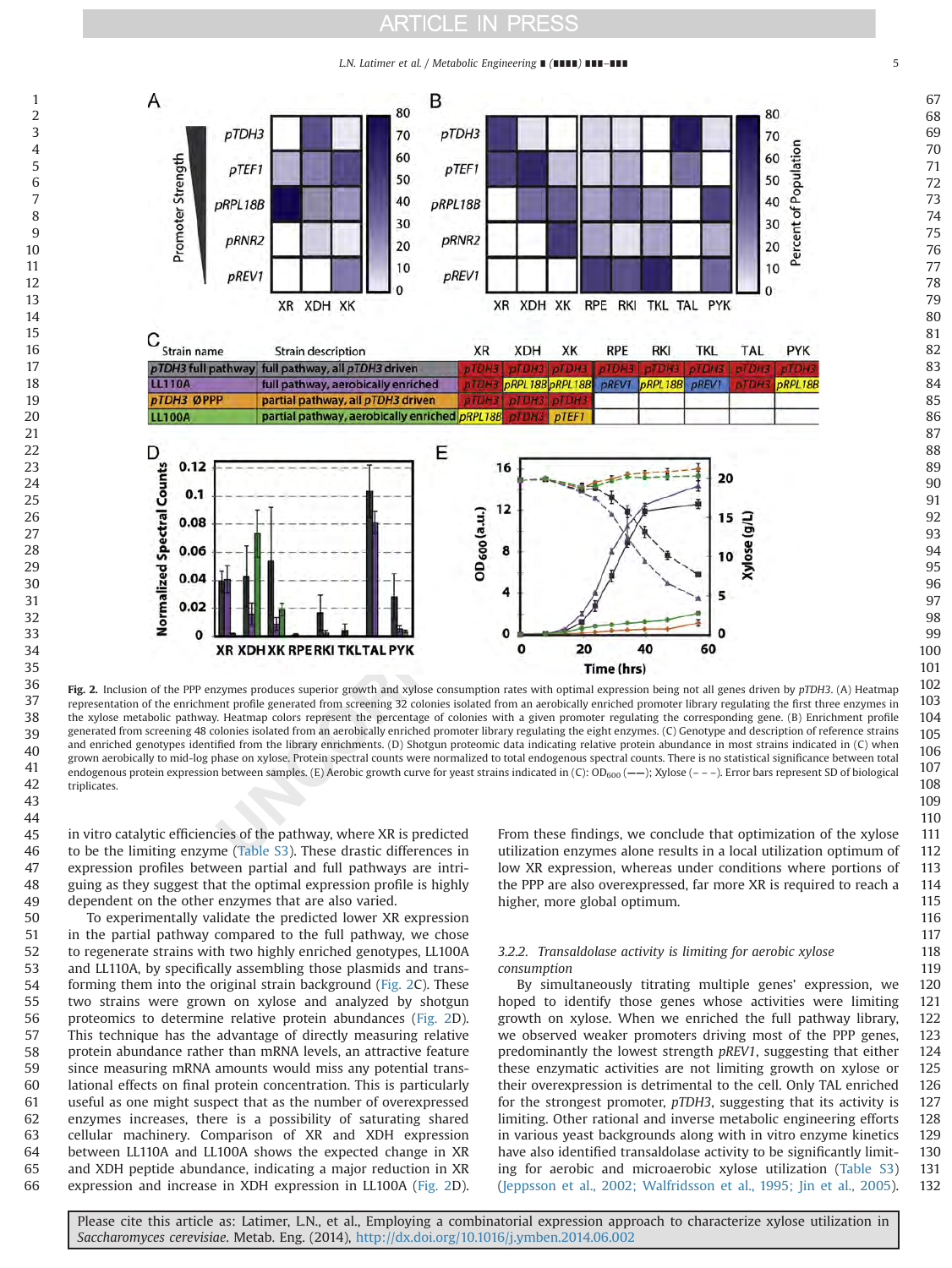**ARTICLE IN PRESS** 

L.N. Latimer et al. / Metabolic Engineering ∎ (∎∎∎∎) ∎∎∎–∎∎∎ 5

<span id="page-4-0"></span>

Fig. 2. Inclusion of the PPP enzymes produces superior growth and xylose consumption rates with optimal expression being not all genes driven by pTDH3. (A) Heatmap representation of the enrichment profile generated from screening 32 colonies isolated from an aerobically enriched promoter library regulating the first three enzymes in the xylose metabolic pathway. Heatmap colors represent the percentage of colonies with a given promoter regulating the corresponding gene. (B) Enrichment profile generated from screening 48 colonies isolated from an aerobically enriched promoter library regulating the eight enzymes. (C) Genotype and description of reference strains and enriched genotypes identified from the library enrichments. (D) Shotgun proteomic data indicating relative protein abundance in most strains indicated in (C) when grown aerobically to mid-log phase on xylose. Protein spectral counts were normalized to total endogenous spectral counts. There is no statistical significance between total endogenous protein expression between samples. (E) Aerobic growth curve for yeast strains indicated in (C):  $O_{600}$  (--); Xylose (---). Error bars represent SD of biological triplicates.

in vitro catalytic efficiencies of the pathway, where XR is predicted to be the limiting enzyme (Table S3). These drastic differences in expression profiles between partial and full pathways are intriguing as they suggest that the optimal expression profile is highly dependent on the other enzymes that are also varied. 

To experimentally validate the predicted lower XR expression in the partial pathway compared to the full pathway, we chose to regenerate strains with two highly enriched genotypes, LL100A and LL110A, by specifically assembling those plasmids and transforming them into the original strain background (Fig. 2C). These two strains were grown on xylose and analyzed by shotgun proteomics to determine relative protein abundances (Fig. 2D). This technique has the advantage of directly measuring relative protein abundance rather than mRNA levels, an attractive feature since measuring mRNA amounts would miss any potential translational effects on final protein concentration. This is particularly useful as one might suspect that as the number of overexpressed enzymes increases, there is a possibility of saturating shared cellular machinery. Comparison of XR and XDH expression between LL110A and LL100A shows the expected change in XR and XDH peptide abundance, indicating a major reduction in XR expression and increase in XDH expression in LL100A (Fig. 2D). 

From these findings, we conclude that optimization of the xylose utilization enzymes alone results in a local utilization optimum of low XR expression, whereas under conditions where portions of the PPP are also overexpressed, far more XR is required to reach a higher, more global optimum.

### 3.2.2. Transaldolase activity is limiting for aerobic xylose consumption

By simultaneously titrating multiple genes' expression, we hoped to identify those genes whose activities were limiting growth on xylose. When we enriched the full pathway library, we observed weaker promoters driving most of the PPP genes, predominantly the lowest strength pREV1, suggesting that either these enzymatic activities are not limiting growth on xylose or their overexpression is detrimental to the cell. Only TAL enriched for the strongest promoter, pTDH3, suggesting that its activity is limiting. Other rational and inverse metabolic engineering efforts in various yeast backgrounds along with in vitro enzyme kinetics have also identified transaldolase activity to be significantly limiting for aerobic and microaerobic xylose utilization (Table S3) ([Jeppsson et al., 2002; Walfridsson et al., 1995; Jin et al., 2005\)](#page-8-0).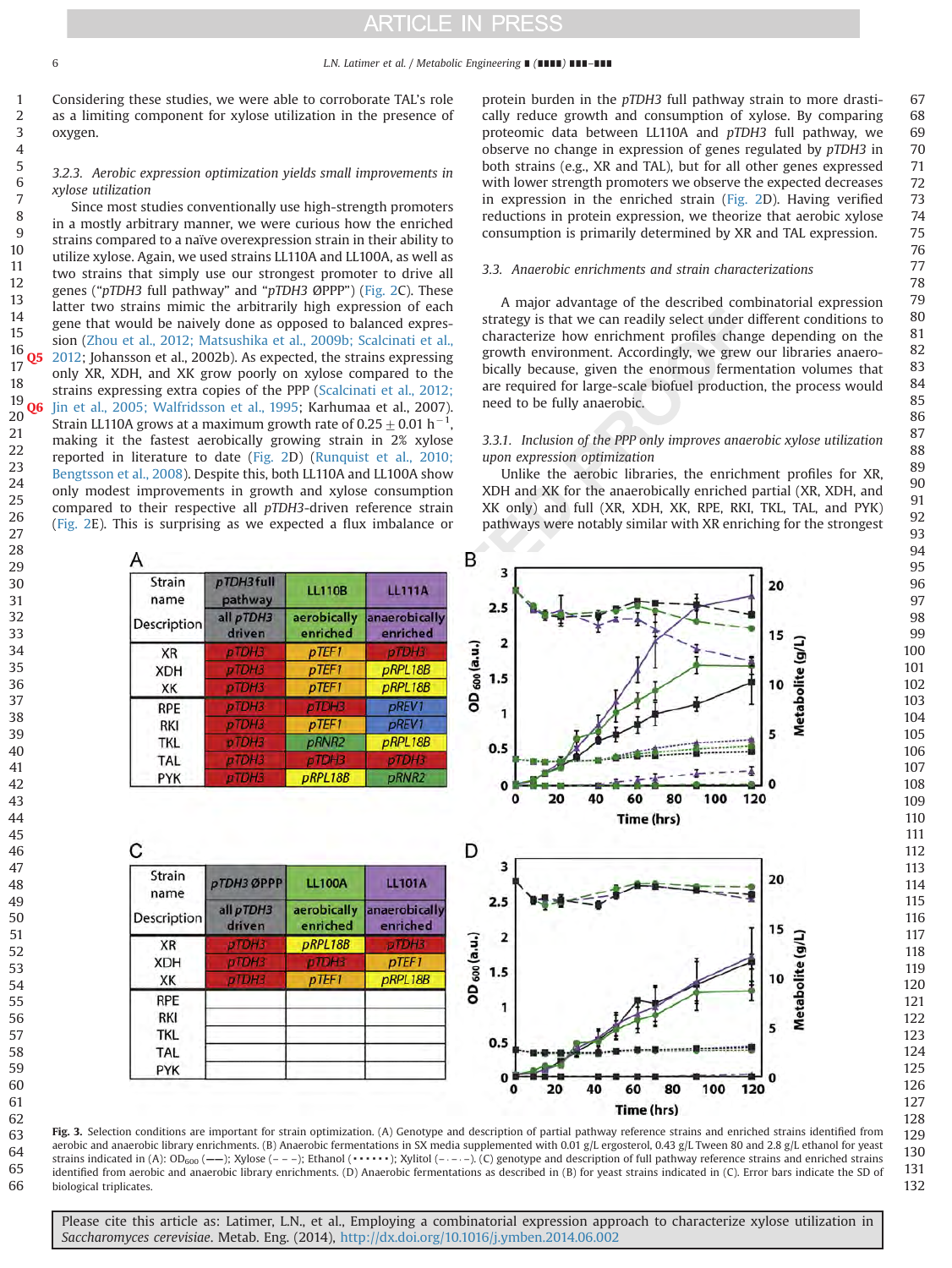<span id="page-5-0"></span>

Considering these studies, we were able to corroborate TAL's role as a limiting component for xylose utilization in the presence of oxygen.

## 3.2.3. Aerobic expression optimization yields small improvements in xylose utilization

Since most studies conventionally use high-strength promoters in a mostly arbitrary manner, we were curious how the enriched strains compared to a naïve overexpression strain in their ability to utilize xylose. Again, we used strains LL110A and LL100A, as well as two strains that simply use our strongest promoter to drive all genes ("pTDH3 full pathway" and "pTDH3 ØPPP") [\(Fig. 2C](#page-4-0)). These latter two strains mimic the arbitrarily high expression of each gene that would be naively done as opposed to balanced expression [\(Zhou et al., 2012; Matsushika et al., 2009b; Scalcinati et al.,](#page-9-0) Q5 [2012](#page-9-0); Johansson et al., 2002b). As expected, the strains expressing only XR, XDH, and XK grow poorly on xylose compared to the strains expressing extra copies of the PPP ([Scalcinati et al., 2012;](#page-9-0) Q6 [Jin et al., 2005; Walfridsson et al., 1995;](#page-9-0) Karhumaa et al., 2007). Strain LL110A grows at a maximum growth rate of  $0.25\pm0.01$  h<sup>-1</sup> , making it the fastest aerobically growing strain in 2% xylose reported in literature to date [\(Fig. 2D](#page-4-0)) [\(Runquist et al., 2010;](#page-9-0) [Bengtsson et al., 2008\)](#page-8-0). Despite this, both LL110A and LL100A show only modest improvements in growth and xylose consumption compared to their respective all pTDH3-driven reference strain ([Fig. 2](#page-4-0)E). This is surprising as we expected a flux imbalance or protein burden in the pTDH3 full pathway strain to more drastically reduce growth and consumption of xylose. By comparing proteomic data between LL110A and pTDH3 full pathway, we observe no change in expression of genes regulated by pTDH3 in both strains (e.g., XR and TAL), but for all other genes expressed with lower strength promoters we observe the expected decreases in expression in the enriched strain ([Fig. 2](#page-4-0)D). Having verified reductions in protein expression, we theorize that aerobic xylose consumption is primarily determined by XR and TAL expression.

### 3.3. Anaerobic enrichments and strain characterizations

A major advantage of the described combinatorial expression strategy is that we can readily select under different conditions to characterize how enrichment profiles change depending on the growth environment. Accordingly, we grew our libraries anaerobically because, given the enormous fermentation volumes that are required for large-scale biofuel production, the process would need to be fully anaerobic.

## 3.3.1. Inclusion of the PPP only improves anaerobic xylose utilization upon expression optimization

Unlike the aerobic libraries, the enrichment profiles for XR, XDH and XK for the anaerobically enriched partial (XR, XDH, and XK only) and full (XR, XDH, XK, RPE, RKI, TKL, TAL, and PYK) pathways were notably similar with XR enriching for the strongest

| Strain<br>name            | pTDH3 full<br>pathway | LL110B                  | <b>LL111A</b>             |                          | 3<br>2.5                |          |                        |     | 20                  |
|---------------------------|-----------------------|-------------------------|---------------------------|--------------------------|-------------------------|----------|------------------------|-----|---------------------|
| Description               | all pTDH3<br>driven   | aerobically<br>enriched | anaerobically<br>enriched |                          | 2                       |          |                        |     | 15                  |
| <b>XR</b>                 | pTDH3                 | pTEF1                   | pTDH3                     |                          |                         |          |                        |     |                     |
| <b>XDH</b>                | pTDH3                 | pTEF1                   | pRPL18B                   |                          | 1.5                     |          |                        |     |                     |
| XK                        | pTDH3                 | pTEF1                   | pRPL18B                   | OD 600 (a.u.)            |                         |          |                        |     | 10                  |
| <b>RPE</b>                | pTDH3                 | pTDH3                   | pREV1                     |                          | 1                       |          |                        |     |                     |
| RKI                       | pTDH3                 | pTEF1                   | pREV1                     |                          |                         |          |                        |     |                     |
| <b>TKL</b>                | pTDH3                 | pRNR <sub>2</sub>       | pRPL18B                   |                          | 0.5                     |          |                        |     | 5                   |
| TAL                       | pTDH3                 | pTDH3                   | pTDH3                     |                          |                         |          |                        |     |                     |
|                           |                       |                         |                           |                          |                         |          |                        |     |                     |
| PYK<br>C                  | pTDH3                 | pRPL18B                 | pRNR <sub>2</sub>         | D                        | 0<br>$\mathbf{o}$       | 20<br>40 | 80<br>60<br>Time (hrs) | 100 | $\mathbf{o}$<br>120 |
| Strain<br>name            | рТДНЗ ØРРР            | <b>LL100A</b>           | <b>LL101A</b>             |                          | з                       |          |                        |     | 20                  |
|                           | all pTDH3<br>driven   | aerobically<br>enriched | anaerobically<br>enriched |                          | 2.5                     |          |                        |     |                     |
| XR                        | <b>DTDH3</b>          | pRPL18B                 | pTDH3                     |                          | $\overline{\mathbf{2}}$ |          |                        |     | 15                  |
| <b>XDH</b>                | pTDH3                 | pTDH3                   | pTEF1                     |                          |                         |          |                        |     |                     |
| XK                        | pTDH3                 | pTEF1                   | pRPL18B                   |                          | 1.5                     |          |                        |     | 10                  |
| RPE                       |                       |                         |                           | OD <sub>600</sub> (a.u.) |                         |          |                        |     |                     |
| RKI                       |                       |                         |                           |                          | 1                       |          |                        |     |                     |
| <b>TKL</b>                |                       |                         |                           |                          |                         |          |                        |     | 5                   |
| Description<br><b>TAL</b> |                       |                         |                           |                          | 0.5                     |          |                        |     |                     |

 Fig. 3. Selection conditions are important for strain optimization. (A) Genotype and description of partial pathway reference strains and enriched strains identified from aerobic and anaerobic library enrichments. (B) Anaerobic fermentations in SX media supplemented with 0.01 g/L ergosterol, 0.43 g/L Tween 80 and 2.8 g/L ethanol for yeast strains indicated in (A): OD<sub>600</sub> (---); Xylose (---); Ethanol (••••••); Xylitol (-----). (C) genotype and description of full pathway reference strains and enriched strains identified from aerobic and anaerobic library enrichments. (D) Anaerobic fermentations as described in (B) for yeast strains indicated in (C). Error bars indicate the SD of biological triplicates.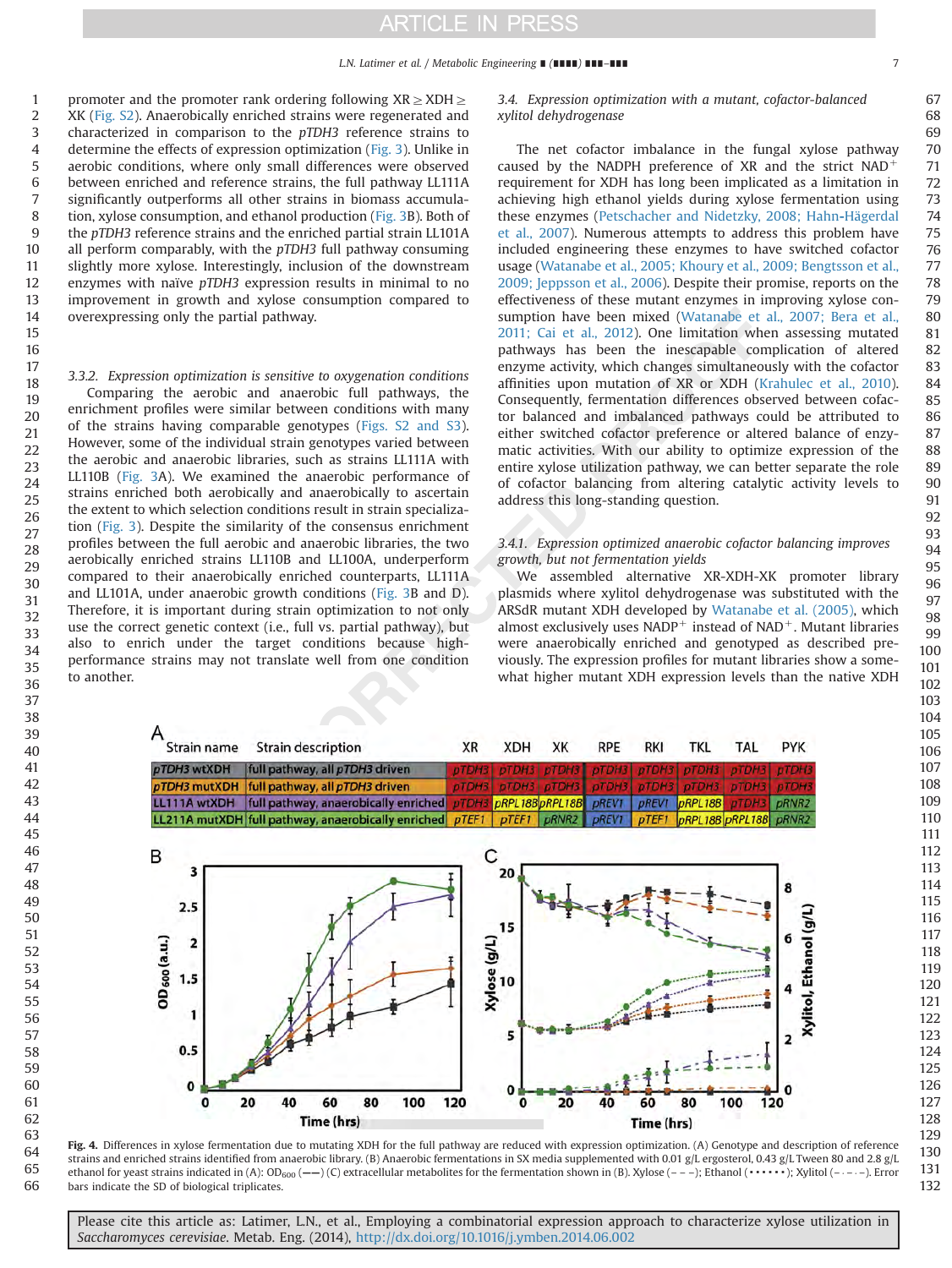<span id="page-6-0"></span>promoter and the promoter rank ordering following  $XR \geq XDH \geq$ XK (Fig. S2). Anaerobically enriched strains were regenerated and characterized in comparison to the pTDH3 reference strains to determine the effects of expression optimization ([Fig. 3](#page-5-0)). Unlike in aerobic conditions, where only small differences were observed between enriched and reference strains, the full pathway LL111A significantly outperforms all other strains in biomass accumulation, xylose consumption, and ethanol production ([Fig. 3B](#page-5-0)). Both of the pTDH3 reference strains and the enriched partial strain LL101A all perform comparably, with the pTDH3 full pathway consuming slightly more xylose. Interestingly, inclusion of the downstream enzymes with naïve pTDH3 expression results in minimal to no improvement in growth and xylose consumption compared to overexpressing only the partial pathway.

3.3.2. Expression optimization is sensitive to oxygenation conditions Comparing the aerobic and anaerobic full pathways, the enrichment profiles were similar between conditions with many of the strains having comparable genotypes (Figs. S2 and S3). However, some of the individual strain genotypes varied between the aerobic and anaerobic libraries, such as strains LL111A with LL110B [\(Fig. 3A](#page-5-0)). We examined the anaerobic performance of strains enriched both aerobically and anaerobically to ascertain the extent to which selection conditions result in strain specialization [\(Fig. 3](#page-5-0)). Despite the similarity of the consensus enrichment profiles between the full aerobic and anaerobic libraries, the two aerobically enriched strains LL110B and LL100A, underperform compared to their anaerobically enriched counterparts, LL111A and LL101A, under anaerobic growth conditions ([Fig. 3B](#page-5-0) and D). Therefore, it is important during strain optimization to not only use the correct genetic context (i.e., full vs. partial pathway), but also to enrich under the target conditions because highperformance strains may not translate well from one condition to another.

3.4. Expression optimization with a mutant, cofactor-balanced xylitol dehydrogenase

The net cofactor imbalance in the fungal xylose pathway caused by the NADPH preference of XR and the strict  $NAD$ <sup>+</sup> requirement for XDH has long been implicated as a limitation in achieving high ethanol yields during xylose fermentation using these enzymes ([Petschacher and Nidetzky, 2008; Hahn](#page-8-0)-Hägerdal [et al., 2007](#page-8-0)). Numerous attempts to address this problem have included engineering these enzymes to have switched cofactor usage [\(Watanabe et al., 2005; Khoury et al., 2009; Bengtsson et al.,](#page-8-0) [2009; Jeppsson et al., 2006](#page-8-0)). Despite their promise, reports on the effectiveness of these mutant enzymes in improving xylose consumption have been mixed [\(Watanabe et al., 2007; Bera et al.,](#page-8-0) [2011; Cai et al., 2012\)](#page-8-0). One limitation when assessing mutated pathways has been the inescapable complication of altered enzyme activity, which changes simultaneously with the cofactor affinities upon mutation of XR or XDH [\(Krahulec et al., 2010\)](#page-9-0). Consequently, fermentation differences observed between cofactor balanced and imbalanced pathways could be attributed to either switched cofactor preference or altered balance of enzymatic activities. With our ability to optimize expression of the entire xylose utilization pathway, we can better separate the role of cofactor balancing from altering catalytic activity levels to address this long-standing question.

### 3.4.1. Expression optimized anaerobic cofactor balancing improves growth, but not fermentation yields

We assembled alternative XR-XDH-XK promoter library plasmids where xylitol dehydrogenase was substituted with the ARSdR mutant XDH developed by [Watanabe et al. \(2005\)](#page-9-0), which almost exclusively uses  $NADP^+$  instead of  $NAD^+$ . Mutant libraries were anaerobically enriched and genotyped as described previously. The expression profiles for mutant libraries show a somewhat higher mutant XDH expression levels than the native XDH



 Fig. 4. Differences in xylose fermentation due to mutating XDH for the full pathway are reduced with expression optimization. (A) Genotype and description of reference strains and enriched strains identified from anaerobic library. (B) Anaerobic fermentations in SX media supplemented with 0.01 g/L ergosterol, 0.43 g/L Tween 80 and 2.8 g/L ethanol for yeast strains indicated in (A): OD<sub>600</sub> (--) (C) extracellular metabolites for the fermentation shown in (B). Xylose (---); Ethanol ( •••••• ); Xylitol (-----). Error bars indicate the SD of biological triplicates.

> Please cite this article as: Latimer, L.N., et al., Employing a combinatorial expression approach to characterize xylose utilization in Saccharomyces cerevisiae. Metab. Eng. (2014), http://dx.doi.org/10.1016/j.ymben.2014.06.002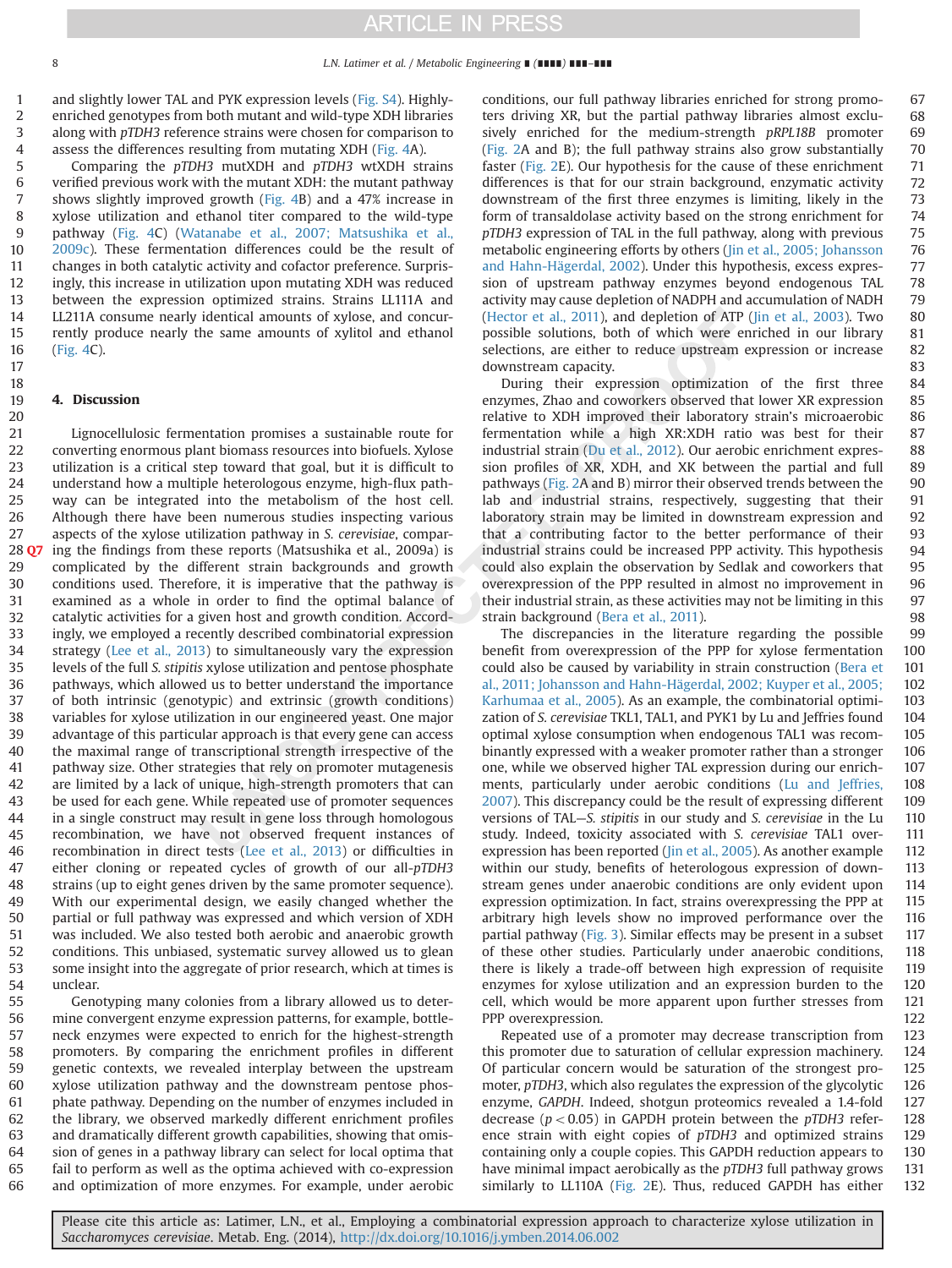and slightly lower TAL and PYK expression levels (Fig. S4). Highlyenriched genotypes from both mutant and wild-type XDH libraries along with pTDH3 reference strains were chosen for comparison to assess the differences resulting from mutating XDH [\(Fig. 4A](#page-6-0)).

Comparing the pTDH3 mutXDH and pTDH3 wtXDH strains verified previous work with the mutant XDH: the mutant pathway shows slightly improved growth ([Fig. 4B](#page-6-0)) and a 47% increase in xylose utilization and ethanol titer compared to the wild-type pathway ([Fig. 4C](#page-6-0)) ([Watanabe et al., 2007; Matsushika et al.,](#page-9-0) [2009c\)](#page-9-0). These fermentation differences could be the result of changes in both catalytic activity and cofactor preference. Surprisingly, this increase in utilization upon mutating XDH was reduced between the expression optimized strains. Strains LL111A and LL211A consume nearly identical amounts of xylose, and concurrently produce nearly the same amounts of xylitol and ethanol ([Fig. 4](#page-6-0)C).

#### 4. Discussion

Lignocellulosic fermentation promises a sustainable route for converting enormous plant biomass resources into biofuels. Xylose utilization is a critical step toward that goal, but it is difficult to understand how a multiple heterologous enzyme, high-flux pathway can be integrated into the metabolism of the host cell. Although there have been numerous studies inspecting various aspects of the xylose utilization pathway in S. cerevisiae, compar-28 **Q7** ing the findings from these reports (Matsushika et al., 2009a) is complicated by the different strain backgrounds and growth conditions used. Therefore, it is imperative that the pathway is examined as a whole in order to find the optimal balance of catalytic activities for a given host and growth condition. Accordingly, we employed a recently described combinatorial expression strategy ([Lee et al., 2013\)](#page-9-0) to simultaneously vary the expression levels of the full S. stipitis xylose utilization and pentose phosphate pathways, which allowed us to better understand the importance of both intrinsic (genotypic) and extrinsic (growth conditions) variables for xylose utilization in our engineered yeast. One major advantage of this particular approach is that every gene can access the maximal range of transcriptional strength irrespective of the pathway size. Other strategies that rely on promoter mutagenesis are limited by a lack of unique, high-strength promoters that can be used for each gene. While repeated use of promoter sequences in a single construct may result in gene loss through homologous recombination, we have not observed frequent instances of recombination in direct tests [\(Lee et al., 2013\)](#page-9-0) or difficulties in either cloning or repeated cycles of growth of our all-pTDH3 strains (up to eight genes driven by the same promoter sequence). With our experimental design, we easily changed whether the partial or full pathway was expressed and which version of XDH was included. We also tested both aerobic and anaerobic growth conditions. This unbiased, systematic survey allowed us to glean some insight into the aggregate of prior research, which at times is unclear. 21 22 23 24 25 26 27 29 30 31 32 33 34 35 36 37 38 39 40 41 42 43 44 45 46 47 48 49 50 51 52 53 54

Genotyping many colonies from a library allowed us to determine convergent enzyme expression patterns, for example, bottleneck enzymes were expected to enrich for the highest-strength promoters. By comparing the enrichment profiles in different genetic contexts, we revealed interplay between the upstream xylose utilization pathway and the downstream pentose phosphate pathway. Depending on the number of enzymes included in the library, we observed markedly different enrichment profiles and dramatically different growth capabilities, showing that omission of genes in a pathway library can select for local optima that fail to perform as well as the optima achieved with co-expression and optimization of more enzymes. For example, under aerobic 55 56 57 58 59 60 61 62 63 64 65 66

conditions, our full pathway libraries enriched for strong promoters driving XR, but the partial pathway libraries almost exclusively enriched for the medium-strength pRPL18B promoter ([Fig. 2A](#page-4-0) and B); the full pathway strains also grow substantially faster ([Fig. 2](#page-4-0)E). Our hypothesis for the cause of these enrichment differences is that for our strain background, enzymatic activity downstream of the first three enzymes is limiting, likely in the form of transaldolase activity based on the strong enrichment for pTDH3 expression of TAL in the full pathway, along with previous metabolic engineering efforts by others ([Jin et al., 2005; Johansson](#page-9-0) [and Hahn-Hägerdal, 2002\)](#page-9-0). Under this hypothesis, excess expression of upstream pathway enzymes beyond endogenous TAL activity may cause depletion of NADPH and accumulation of NADH ([Hector et al., 2011](#page-8-0)), and depletion of ATP ([Jin et al., 2003](#page-8-0)). Two possible solutions, both of which were enriched in our library selections, are either to reduce upstream expression or increase downstream capacity. 67 68 69 70 71 72 73 74 75 76 77 78 79 80 81 82 83

During their expression optimization of the first three enzymes, Zhao and coworkers observed that lower XR expression relative to XDH improved their laboratory strain's microaerobic fermentation while a high XR:XDH ratio was best for their industrial strain [\(Du et al., 2012](#page-8-0)). Our aerobic enrichment expression profiles of XR, XDH, and XK between the partial and full pathways [\(Fig. 2A](#page-4-0) and B) mirror their observed trends between the lab and industrial strains, respectively, suggesting that their laboratory strain may be limited in downstream expression and that a contributing factor to the better performance of their industrial strains could be increased PPP activity. This hypothesis could also explain the observation by Sedlak and coworkers that overexpression of the PPP resulted in almost no improvement in their industrial strain, as these activities may not be limiting in this strain background [\(Bera et al., 2011](#page-8-0)).

The discrepancies in the literature regarding the possible benefit from overexpression of the PPP for xylose fermentation could also be caused by variability in strain construction ([Bera et](#page-8-0) [al., 2011; Johansson and Hahn-Hägerdal, 2002; Kuyper et al., 2005;](#page-9-0) [Karhumaa et al., 2005\)](#page-9-0). As an example, the combinatorial optimization of S. cerevisiae TKL1, TAL1, and PYK1 by Lu and Jeffries found optimal xylose consumption when endogenous TAL1 was recombinantly expressed with a weaker promoter rather than a stronger one, while we observed higher TAL expression during our enrichments, particularly under aerobic conditions ([Lu and Jeffries,](#page-9-0) [2007\)](#page-9-0). This discrepancy could be the result of expressing different versions of TAL—S. stipitis in our study and S. cerevisiae in the Lu study. Indeed, toxicity associated with S. cerevisiae TAL1 overexpression has been reported ([Jin et al., 2005\)](#page-8-0). As another example within our study, benefits of heterologous expression of downstream genes under anaerobic conditions are only evident upon expression optimization. In fact, strains overexpressing the PPP at arbitrary high levels show no improved performance over the partial pathway ([Fig. 3](#page-5-0)). Similar effects may be present in a subset of these other studies. Particularly under anaerobic conditions, there is likely a trade-off between high expression of requisite enzymes for xylose utilization and an expression burden to the cell, which would be more apparent upon further stresses from PPP overexpression. 99 100 101 102 103 104 105 106 107 108 109 110 111 112 113 114 115 116 117 118 119 120 121 122

Repeated use of a promoter may decrease transcription from this promoter due to saturation of cellular expression machinery. Of particular concern would be saturation of the strongest promoter, pTDH3, which also regulates the expression of the glycolytic enzyme, GAPDH. Indeed, shotgun proteomics revealed a 1.4-fold decrease ( $p < 0.05$ ) in GAPDH protein between the pTDH3 reference strain with eight copies of pTDH3 and optimized strains containing only a couple copies. This GAPDH reduction appears to have minimal impact aerobically as the pTDH3 full pathway grows similarly to LL110A ([Fig. 2](#page-4-0)E). Thus, reduced GAPDH has either 123 124 125 126 127 128 129 130 131 132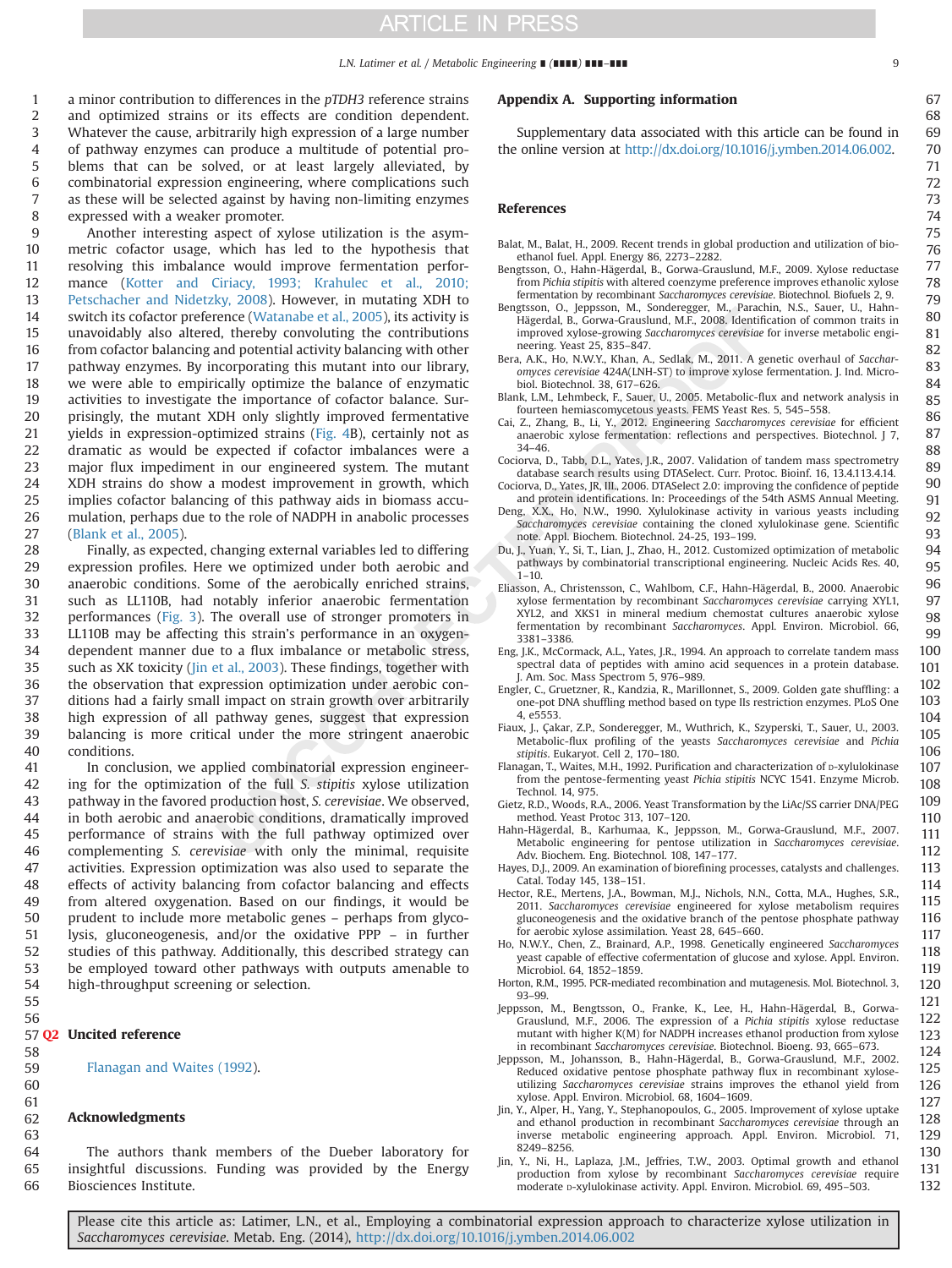#### <span id="page-8-0"></span>a minor contribution to differences in the pTDH3 reference strains and optimized strains or its effects are condition dependent. Whatever the cause, arbitrarily high expression of a large number of pathway enzymes can produce a multitude of potential problems that can be solved, or at least largely alleviated, by combinatorial expression engineering, where complications such as these will be selected against by having non-limiting enzymes expressed with a weaker promoter. 4 6

Another interesting aspect of xylose utilization is the asymmetric cofactor usage, which has led to the hypothesis that resolving this imbalance would improve fermentation perfor-mance ([Kotter and Ciriacy, 1993; Krahulec et al., 2010;](#page-9-0) [Petschacher and Nidetzky, 2008\)](#page-9-0). However, in mutating XDH to switch its cofactor preference [\(Watanabe et al., 2005\)](#page-9-0), its activity is unavoidably also altered, thereby convoluting the contributions from cofactor balancing and potential activity balancing with other pathway enzymes. By incorporating this mutant into our library, we were able to empirically optimize the balance of enzymatic activities to investigate the importance of cofactor balance. Surprisingly, the mutant XDH only slightly improved fermentative yields in expression-optimized strains ([Fig. 4B](#page-6-0)), certainly not as dramatic as would be expected if cofactor imbalances were a major flux impediment in our engineered system. The mutant XDH strains do show a modest improvement in growth, which implies cofactor balancing of this pathway aids in biomass accumulation, perhaps due to the role of NADPH in anabolic processes (Blank et al., 2005). 9 10 11 12 13 14 15 16 17 18 19 20 21 22 23 24 25 26 27

Finally, as expected, changing external variables led to differing expression profiles. Here we optimized under both aerobic and anaerobic conditions. Some of the aerobically enriched strains, such as LL110B, had notably inferior anaerobic fermentation performances [\(Fig. 3](#page-5-0)). The overall use of stronger promoters in LL110B may be affecting this strain's performance in an oxygendependent manner due to a flux imbalance or metabolic stress, such as XK toxicity (Jin et al., 2003). These findings, together with the observation that expression optimization under aerobic conditions had a fairly small impact on strain growth over arbitrarily high expression of all pathway genes, suggest that expression balancing is more critical under the more stringent anaerobic conditions. 28 29 30 31 32 33 34 35 36 37 38 39 40

In conclusion, we applied combinatorial expression engineering for the optimization of the full S. stipitis xylose utilization pathway in the favored production host, S. cerevisiae. We observed, in both aerobic and anaerobic conditions, dramatically improved performance of strains with the full pathway optimized over complementing S. cerevisiae with only the minimal, requisite activities. Expression optimization was also used to separate the effects of activity balancing from cofactor balancing and effects from altered oxygenation. Based on our findings, it would be prudent to include more metabolic genes – perhaps from glycolysis, gluconeogenesis, and/or the oxidative PPP – in further studies of this pathway. Additionally, this described strategy can be employed toward other pathways with outputs amenable to high-throughput screening or selection. 41 42 43 44 45 46 47 48 49 50 51 52 53 54 55

# 57 Q2 Uncited reference

Flanagan and Waites (1992).

#### Acknowledgments 62

63

56

1 2 3

5

7 8

The authors thank members of the Dueber laboratory for insightful discussions. Funding was provided by the Energy Biosciences Institute. 64 65 66

## Appendix A. Supporting information

Supplementary data associated with this article can be found in the online version at <http://dx.doi.org/10.1016/j.ymben.2014.06.002>.

#### References

- Balat, M., Balat, H., 2009. Recent trends in global production and utilization of bioethanol fuel. Appl. Energy 86, 2273–2282.
- Bengtsson, O., Hahn-Hägerdal, B., Gorwa-Grauslund, M.F., 2009. Xylose reductase from Pichia stipitis with altered coenzyme preference improves ethanolic xylose fermentation by recombinant Saccharomyces cerevisiae. Biotechnol. Biofuels 2, 9.
- Bengtsson, O., Jeppsson, M., Sonderegger, M., Parachin, N.S., Sauer, U., Hahn-Hägerdal, B., Gorwa-Grauslund, M.F., 2008. Identification of common traits in improved xylose-growing Saccharomyces cerevisiae for inverse metabolic engineering. Yeast 25, 835–847.
- Bera, A.K., Ho, N.W.Y., Khan, A., Sedlak, M., 2011. A genetic overhaul of Saccharomyces cerevisiae 424A(LNH-ST) to improve xylose fermentation. J. Ind. Microbiol. Biotechnol. 38, 617–626.
- Blank, L.M., Lehmbeck, F., Sauer, U., 2005. Metabolic-flux and network analysis in fourteen hemiascomycetous yeasts. FEMS Yeast Res. 5, 545–558.
- Cai, Z., Zhang, B., Li, Y., 2012. Engineering Saccharomyces cerevisiae for efficient anaerobic xylose fermentation: reflections and perspectives. Biotechnol. J 7, 34–46.
- Cociorva, D., Tabb, D.L., Yates, J.R., 2007. Validation of tandem mass spectrometry database search results using DTASelect. Curr. Protoc. Bioinf. 16, 13.4.113.4.14. Cociorva, D., Yates, JR, III., 2006. DTASelect 2.0: improving the confidence of peptide
- and protein identifications. In: Proceedings of the 54th ASMS Annual Meeting.
- Deng, X.X., Ho, N.W., 1990. Xylulokinase activity in various yeasts including Saccharomyces cerevisiae containing the cloned xylulokinase gene. Scientific note. Appl. Biochem. Biotechnol. 24-25, 193–199.
- Du, J., Yuan, Y., Si, T., Lian, J., Zhao, H., 2012. Customized optimization of metabolic pathways by combinatorial transcriptional engineering. Nucleic Acids Res. 40,  $1-10$ .
- Eliasson, A., Christensson, C., Wahlbom, C.F., Hahn-Hägerdal, B., 2000. Anaerobic xylose fermentation by recombinant Saccharomyces cerevisiae carrying XYL1, XYL2, and XKS1 in mineral medium chemostat cultures anaerobic xylose fermentation by recombinant Saccharomyces. Appl. Environ. Microbiol. 66, 3381–3386.
- Eng, J.K., McCormack, A.L., Yates, J.R., 1994. An approach to correlate tandem mass spectral data of peptides with amino acid sequences in a protein database. J. Am. Soc. Mass Spectrom 5, 976–989.
- Engler, C., Gruetzner, R., Kandzia, R., Marillonnet, S., 2009. Golden gate shuffling: a one-pot DNA shuffling method based on type IIs restriction enzymes. PLoS One 4, e5553.
- Fiaux, J., Çakar, Z.P., Sonderegger, M., Wuthrich, K., Szyperski, T., Sauer, U., 2003. Metabolic-flux profiling of the yeasts Saccharomyces cerevisiae and Pichia stipitis. Eukaryot. Cell 2, 170–180.
- Flanagan, T., Waites, M.H., 1992. Purification and characterization of p-xylulokinase from the pentose-fermenting yeast Pichia stipitis NCYC 1541. Enzyme Microb. Technol. 14, 975.
- Gietz, R.D., Woods, R.A., 2006. Yeast Transformation by the LiAc/SS carrier DNA/PEG method. Yeast Protoc 313, 107–120.
- Hahn-Hägerdal, B., Karhumaa, K., Jeppsson, M., Gorwa-Grauslund, M.F., 2007. Metabolic engineering for pentose utilization in Saccharomyces cerevisiae. Adv. Biochem. Eng. Biotechnol. 108, 147–177.
- Hayes, D.J., 2009. An examination of biorefining processes, catalysts and challenges. Catal. Today 145, 138–151.
- Hector, R.E., Mertens, J.A., Bowman, M.J., Nichols, N.N., Cotta, M.A., Hughes, S.R., 2011. Saccharomyces cerevisiae engineered for xylose metabolism requires gluconeogenesis and the oxidative branch of the pentose phosphate pathway for aerobic xylose assimilation. Yeast 28, 645–660.
- Ho, N.W.Y., Chen, Z., Brainard, A.P., 1998. Genetically engineered Saccharomyces yeast capable of effective cofermentation of glucose and xylose. Appl. Environ. Microbiol. 64, 1852–1859. 118 119
- Horton, R.M., 1995. PCR-mediated recombination and mutagenesis. Mol. Biotechnol. 3, 93–99.
- Jeppsson, M., Bengtsson, O., Franke, K., Lee, H., Hahn-Hägerdal, B., Gorwa-Grauslund, M.F., 2006. The expression of a Pichia stipitis xylose reductase mutant with higher K(M) for NADPH increases ethanol production from xylose in recombinant Saccharomyces cerevisiae. Biotechnol. Bioeng. 93, 665–673.
- Jeppsson, M., Johansson, B., Hahn-Hägerdal, B., Gorwa-Grauslund, M.F., 2002. Reduced oxidative pentose phosphate pathway flux in recombinant xyloseutilizing Saccharomyces cerevisiae strains improves the ethanol yield from xylose. Appl. Environ. Microbiol. 68, 1604–1609. 124 125 126 127
- Jin, Y., Alper, H., Yang, Y., Stephanopoulos, G., 2005. Improvement of xylose uptake and ethanol production in recombinant Saccharomyces cerevisiae through an inverse metabolic engineering approach. Appl. Environ. Microbiol. 71, 8249–8256. 128 129 130
- Jin, Y., Ni, H., Laplaza, J.M., Jeffries, T.W., 2003. Optimal growth and ethanol production from xylose by recombinant Saccharomyces cerevisiae require moderate D-xylulokinase activity. Appl. Environ. Microbiol. 69, 495-503. 131 132

Please cite this article as: Latimer, L.N., et al., Employing a combinatorial expression approach to characterize xylose utilization in Saccharomyces cerevisiae. Metab. Eng. (2014), http://dx.doi.org/10.1016/j.ymben.2014.06.002

# **ARTICLE IN PRESS**